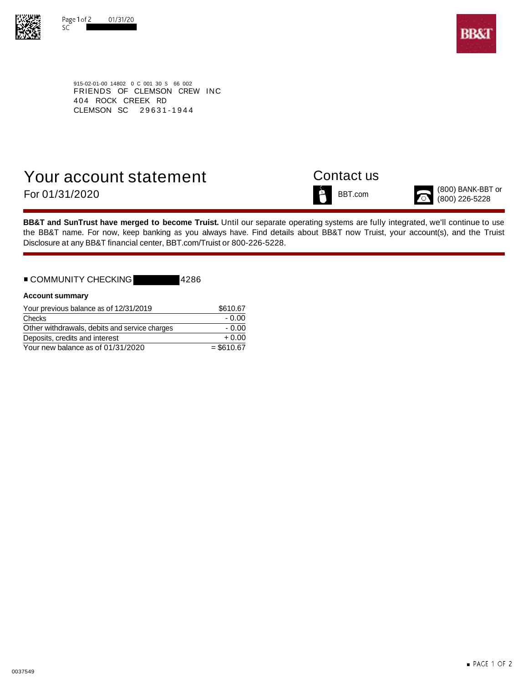



915-02-01-00 14802 0 C 001 30 S 66 002 FRIENDS OF CLEMSON CREW INC 404 ROCK CREEK RD CLEMSON SC 29631-1944

# Your account statement Contact us For  $01/31/2020$  BBT.com  $\overbrace{0}^{800}$  BANK-BBT or  $^{(800)$  BANK-BBT or

**BB&T and SunTrust have merged to become Truist.** Until our separate operating systems are fully integrated, we'll continue to use the BB&T name. For now, keep banking as you always have. Find details about BB&T now Truist, your account(s), and the Truist Disclosure at any BB&T financial center, BBT.com/Truist or 800-226-5228.

## ■ COMMUNITY CHECKING | 4286

| <b>Account summary</b> |  |
|------------------------|--|

| Your previous balance as of 12/31/2019        | \$610.67     |
|-----------------------------------------------|--------------|
| Checks                                        | - 0.00       |
| Other withdrawals, debits and service charges | $-0.00$      |
| Deposits, credits and interest                | $+0.00$      |
| Your new balance as of 01/31/2020             | $=$ \$610.67 |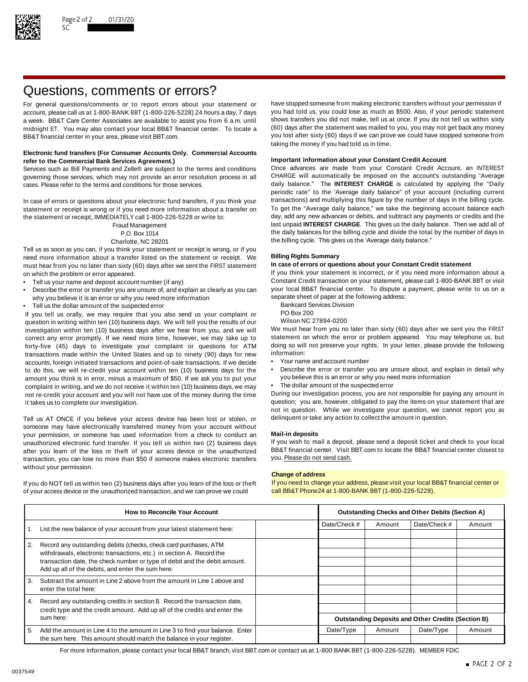

# Questions, comments or errors?

account, please call us at 1-800-BANK BBT (1-800-226-5228) 24 hours a day, 7 days midnight ET. You may also contact your local BB&T financial center. To locate a BB&T financial center in your area, please visit BBT.com. The state of the state of the state of the state of the state of the state of the state of the state of the state of the state of the state of the state of the stat

### **Electronic fund transfers (For Consumer Accounts Only. Commercial Accounts Important information about your Constant Credit Account refer to the Commercial Bank Services Agreement.)**

governing those services, which may not provide an error resolution process in all CHARGE will automatically be imposed on the account's outstanding "Average cases. Please refer to the terms and conditions for those services. daily balance." The **INTEREST CHARGE** is calculated by applying the "Daily

statement or receipt is wrong or if you need more information about a transfer on To get the "Average daily balance," we take the beginning account balance each<br>the statement or receipt IMMFDIATFLY call 1-800-226-5228 or w the statement or receipt, IMMEDIATELY call 1-800-226-5228 or write to:

Tell us as soon as you can, if you think your statement or receipt is wrong, or if you need more information about a transfer listed on the statement or receipt. We **Billing Rights Summary** must hear from you no later than sixty (60) days after we sent the FIRST statement on which the problem or error appeared. If you think your statement is incorrect, or if you need more information about a

- 
- Describe the error or transfer you are unsure of, and explain as clearly as you can your local BB&T financial center. To dispute a payment or why you need more information separate sheet of paper at the following address: why you believe it is an error or why you need more information<br>Tell us the dollar amount of the suspected error and the following address Division
- Fell us the dollar amount of the suspected error<br>Vou tell us orally we may require that you also send us your complaint or BO Box 200

If you tell us orally, we may require that you also send us your complaint or PO Box 200<br>question in writing within ten (10) business days. We will tell you the results of our Wilson NC 27894-0200 question in writing within ten (10) business days. We will tell you the results of our Wilson NC 27894-0200<br>investigation within ten (10) business days after we hear from you, and we will We must hear from you no later tha investigation within ten (10) business days after we hear from you, and we will We must hear from you no later than sixty (60) days after we sent you the FIRST<br>correct any error promptly. If we need more time, however, we correct any error promptly. If we need more time, however, we may take up to statement on which the error or problem appeared. You may telephone us, but If or the endlowing to the more time, however, we may take up to the forty-five (45) days to investigate your complaint or questions for ATM doing so will<br>transactions made within the United States and up to pinety (90) days for new information: transactions made within the United States and up to ninety (90) days for new information:<br>accounts foreign initiated transactions and point-of-sale transactions. If we decide • Your name and account number accounts, foreign initiated transactions and point-of-sale transactions. If we decide amount you think is in error, minus a maximum of \$50. If we ask you to put your complaint in writing, and we do not receive it within ten (10) business days, we may • The dollar amount of the suspected error not re-credit your account and you will not have use of the money during the time During our investigation process, you are not responsible for paying any amount in

Tell us AT ONCE if you believe your access device has been lost or stolen, or delinquent or take any action to collect the amount in question. someone may have electronically transferred money from your account without your permission, or someone has used information from a check to conduct an **Mail-in deposits** unauthorized electronic fund transfer. If you tell us within two (2) business days If you wish to mail a deposit, please send a deposit ticket and check to your local after vou learn of the loss or theft of your access dev after you learn of the loss or theft of your access device or the unauthorized BB&T financial center. Visit l<br>transaction, you can lose no more than \$50 if someone makes electronic transfers you. Please do not send cash. transaction, you can lose no more than \$50 if someone makes electronic transfers without your permission.

of your access device or the unauthorized transaction, and we can prove we could call BB&T Phone24 at 1-800-BANK BBT (1-800-226-5228).

For general questions/comments or to report errors about your statement or have stopped someone from making electronic transfers without your permission if account please call us at 1-800-BANK BBT (1-800-226-5228) 24 hours a week. BB&T Care Center Associates are available to assist you from 6 a.m. until shows transfers you did not make, tell us at once. If you do not tell us within sixty<br>midnight FT You may also contact your local BB&T finan taking the money if you had told us in time.

Services such as Bill Payments and Zelle® are subject to the terms and conditions Once advances are made from your Constant Credit Account, an INTEREST periodic rate" to the 'Average daily balance" of your account (including current In case of errors or questions about your electronic fund transfers, if you think your transactions) and multiplying this figure by the number of days in the billing cycle.<br>Statement or receipt is wrong or if you need more Fraud Management last unpaid **INTEREST CHARGE**. This gives us the daily balance. Then we add all of P.O. Box 1014 the daily balances for the billing cycle and divide the total by the number of days in Charlotte, NC 28201 **the billing cycle.** This gives us the 'Average daily balance."

Tell us your name and deposit account number (if any) excluding the constant Credit transaction on your statement, please call 1-800-BANK BBT or visit • Tell us your inclusive to us on a payment, please write to us on a

- 
- 
- 

- 
- to do this, we will re-credit your account within ten (10) business days for the Describe the error or transfer you are unsure about, and explain in detail why<br>amount you think is in error, minus a maximum of \$50. If we
	-

it takes us to complete our investigation. The statement of the statement that are question; you are, however, obligated to pay the items on your statement that are not in question. While we investigate your question, we cannot report you as

### **Change of address**

If you do NOT tell us within two (2) business days after you learn of the loss or theft If you need to change your address, please visit your local BB&T financial center or

| <b>How to Reconcile Your Account</b>                                       |                                                                                                                                |              | <b>Outstanding Checks and Other Debits (Section A)</b> |        |                                                           |        |
|----------------------------------------------------------------------------|--------------------------------------------------------------------------------------------------------------------------------|--------------|--------------------------------------------------------|--------|-----------------------------------------------------------|--------|
|                                                                            | List the new balance of your account from your latest statement here:                                                          | Date/Check # |                                                        | Amount | Date/Check #                                              | Amount |
| $\overline{2}$ .                                                           | Record any outstanding debits (checks, check card purchases, ATM                                                               |              |                                                        |        |                                                           |        |
|                                                                            | withdrawals, electronic transactions, etc.) in section A. Record the                                                           |              |                                                        |        |                                                           |        |
|                                                                            | transaction date, the check number or type of debit and the debit amount.<br>Add up all of the debits, and enter the sum here: |              |                                                        |        |                                                           |        |
| 3.                                                                         | Subtract the amount in Line 2 above from the amount in Line 1 above and                                                        |              |                                                        |        |                                                           |        |
|                                                                            | enter the total here:                                                                                                          |              |                                                        |        |                                                           |        |
| $\overline{4}$ .                                                           | Record any outstanding credits in section B. Record the transaction date,                                                      |              |                                                        |        |                                                           |        |
| credit type and the credit amount. Add up all of the credits and enter the |                                                                                                                                |              |                                                        |        |                                                           |        |
|                                                                            | sum here:                                                                                                                      |              |                                                        |        | <b>Outstanding Deposits and Other Credits (Section B)</b> |        |
| 5.                                                                         | Add the amount in Line 4 to the amount in Line 3 to find your balance. Enter                                                   | Date/Type    |                                                        | Amount | Date/Type                                                 | Amount |
| the sum here. This amount should match the balance in your register.       |                                                                                                                                |              |                                                        |        |                                                           |        |

For more information, please contact your local BB&T branch, visit BBT.com or contact us at 1-800 BANK BBT (1-800-226-5228). MEMBER FDIC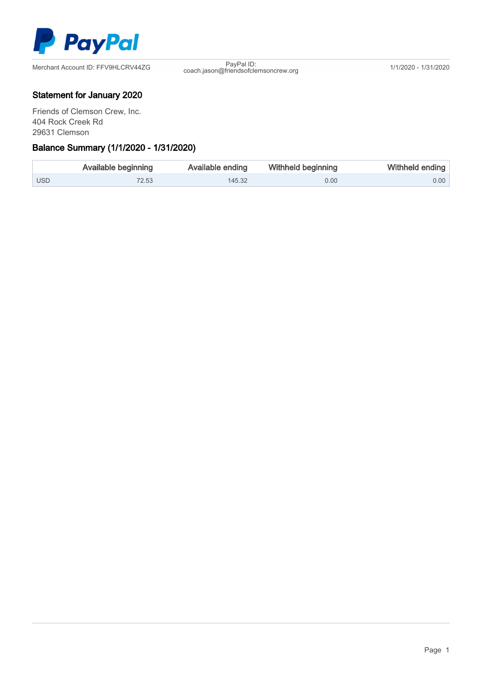

coach.jason@friendsofclemsoncrew.org 1/1/2020 - 1/31/2020

## Statement for January 2020

Friends of Clemson Crew, Inc. 404 Rock Creek Rd 29631 Clemson

### Ξ Balance Summary (1/1/2020 - 1/31/2020)

|                  | <b>Available beginning</b> | Available ending | <b>Withheld beginning</b> | Withheld ending |
|------------------|----------------------------|------------------|---------------------------|-----------------|
| USD <sup>1</sup> | 72.53                      | 145.32           | 0.00                      | $0.00$          |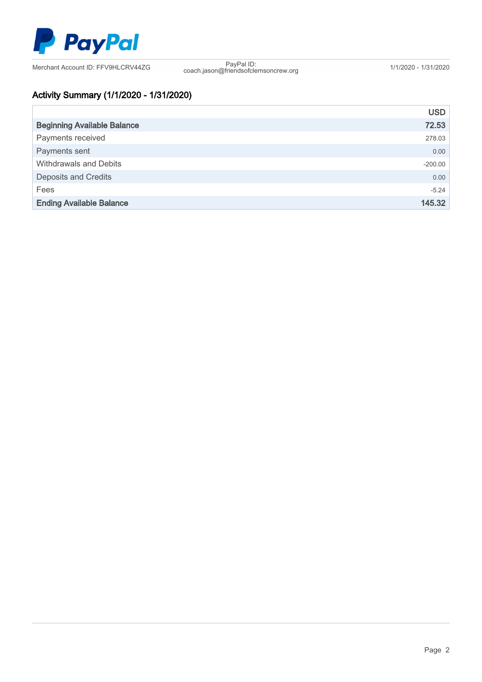

coach.jason@friendsofclemsoncrew.org 1/1/2020 - 1/31/2020

# Activity Summary (1/1/2020 - 1/31/2020)

|                                    | <b>USD</b> |
|------------------------------------|------------|
| <b>Beginning Available Balance</b> | 72.53      |
| Payments received                  | 278.03     |
| Payments sent                      | 0.00       |
| Withdrawals and Debits             | $-200.00$  |
| <b>Deposits and Credits</b>        | 0.00       |
| Fees                               | $-5.24$    |
| <b>Ending Available Balance</b>    | 145.32     |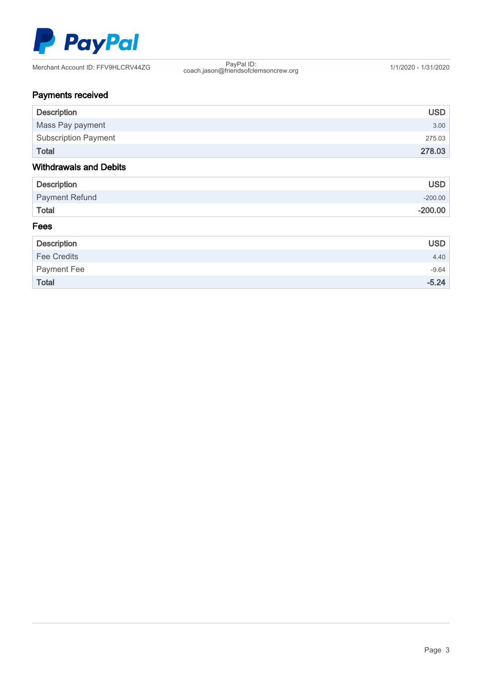

coach.jason@friendsofclemsoncrew.org 1/1/2020 - 1/31/2020

# Payments received

| <b>Description</b>            | <b>USD</b> |
|-------------------------------|------------|
| Mass Pay payment              | 3.00       |
| <b>Subscription Payment</b>   | 275.03     |
| <b>Total</b>                  | 278.03     |
| <b>Withdrawals and Debits</b> |            |
| <b>Description</b>            | <b>USD</b> |
| <b>Payment Refund</b>         | $-200.00$  |
| <b>Total</b>                  | $-200.00$  |
| Fees                          |            |

| <b>Description</b> | <b>USD</b> |
|--------------------|------------|
| <b>Fee Credits</b> | 4.40       |
| Payment Fee        | $-9.64$    |
| <b>Total</b>       | $-5.24$    |